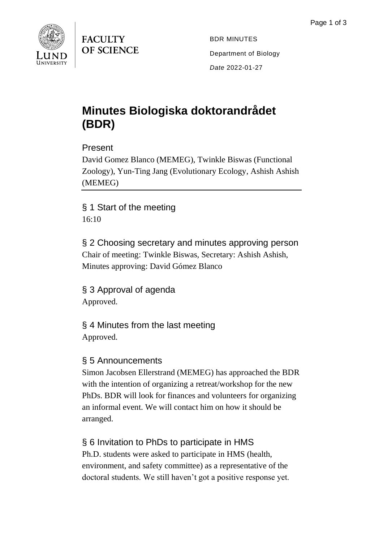

**FACULTY OF SCIENCE** 

BDR MINUTES Department of Biology *Date* 2022-01-27

# **Minutes Biologiska doktorandrådet (BDR)**

Present

David Gomez Blanco (MEMEG), Twinkle Biswas (Functional Zoology), Yun-Ting Jang (Evolutionary Ecology, Ashish Ashish (MEMEG)

§ 1 Start of the meeting 16:10

§ 2 Choosing secretary and minutes approving person Chair of meeting: Twinkle Biswas, Secretary: Ashish Ashish, Minutes approving: David Gómez Blanco

§ 3 Approval of agenda Approved.

§ 4 Minutes from the last meeting Approved.

#### § 5 Announcements

Simon Jacobsen Ellerstrand (MEMEG) has approached the BDR with the intention of organizing a retreat/workshop for the new PhDs. BDR will look for finances and volunteers for organizing an informal event. We will contact him on how it should be arranged.

## § 6 Invitation to PhDs to participate in HMS

Ph.D. students were asked to participate in HMS (health, environment, and safety committee) as a representative of the doctoral students. We still haven't got a positive response yet.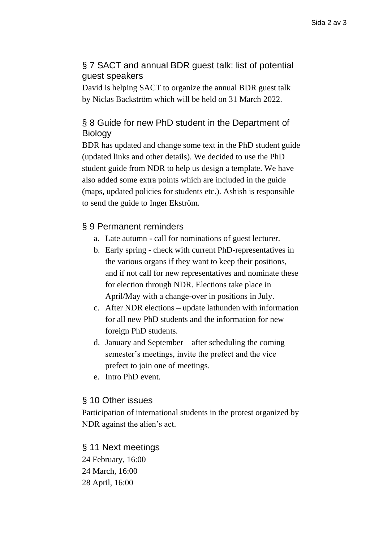## § 7 SACT and annual BDR guest talk: list of potential guest speakers

David is helping SACT to organize the annual BDR guest talk by Niclas Backström which will be held on 31 March 2022.

## § 8 Guide for new PhD student in the Department of Biology

BDR has updated and change some text in the PhD student guide (updated links and other details). We decided to use the PhD student guide from NDR to help us design a template. We have also added some extra points which are included in the guide (maps, updated policies for students etc.). Ashish is responsible to send the guide to Inger Ekström.

### § 9 Permanent reminders

- a. Late autumn call for nominations of guest lecturer.
- b. Early spring check with current PhD-representatives in the various organs if they want to keep their positions, and if not call for new representatives and nominate these for election through NDR. Elections take place in April/May with a change-over in positions in July.
- c. After NDR elections update lathunden with information for all new PhD students and the information for new foreign PhD students.
- d. January and September after scheduling the coming semester's meetings, invite the prefect and the vice prefect to join one of meetings.
- e. Intro PhD event.

#### § 10 Other issues

Participation of international students in the protest organized by NDR against the alien's act.

#### § 11 Next meetings

24 February, 16:00 24 March, 16:00 28 April, 16:00